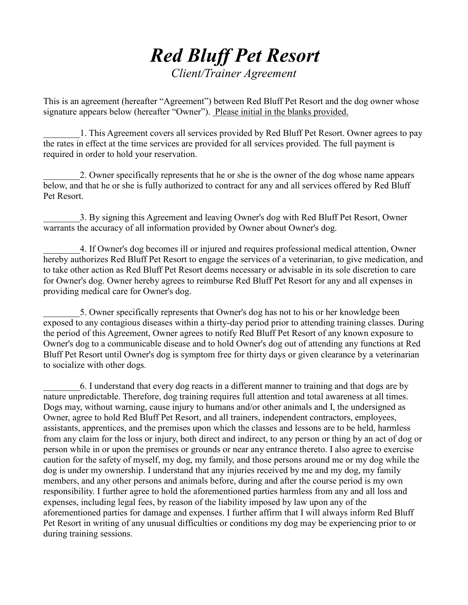## *Red Bluff Pet Resort Client/Trainer Agreement*

This is an agreement (hereafter "Agreement") between Red Bluff Pet Resort and the dog owner whose signature appears below (hereafter "Owner"). Please initial in the blanks provided.

\_\_\_\_\_\_\_\_1. This Agreement covers all services provided by Red Bluff Pet Resort. Owner agrees to pay the rates in effect at the time services are provided for all services provided. The full payment is required in order to hold your reservation.

\_\_\_\_\_\_\_\_2. Owner specifically represents that he or she is the owner of the dog whose name appears below, and that he or she is fully authorized to contract for any and all services offered by Red Bluff Pet Resort.

3. By signing this Agreement and leaving Owner's dog with Red Bluff Pet Resort, Owner warrants the accuracy of all information provided by Owner about Owner's dog.

\_\_\_\_\_\_\_\_4. If Owner's dog becomes ill or injured and requires professional medical attention, Owner hereby authorizes Red Bluff Pet Resort to engage the services of a veterinarian, to give medication, and to take other action as Red Bluff Pet Resort deems necessary or advisable in its sole discretion to care for Owner's dog. Owner hereby agrees to reimburse Red Bluff Pet Resort for any and all expenses in providing medical care for Owner's dog.

\_\_\_\_\_\_\_\_5. Owner specifically represents that Owner's dog has not to his or her knowledge been exposed to any contagious diseases within a thirty-day period prior to attending training classes. During the period of this Agreement, Owner agrees to notify Red Bluff Pet Resort of any known exposure to Owner's dog to a communicable disease and to hold Owner's dog out of attending any functions at Red Bluff Pet Resort until Owner's dog is symptom free for thirty days or given clearance by a veterinarian to socialize with other dogs.

\_\_\_\_\_\_\_\_6. I understand that every dog reacts in a different manner to training and that dogs are by nature unpredictable. Therefore, dog training requires full attention and total awareness at all times. Dogs may, without warning, cause injury to humans and/or other animals and I, the undersigned as Owner, agree to hold Red Bluff Pet Resort, and all trainers, independent contractors, employees, assistants, apprentices, and the premises upon which the classes and lessons are to be held, harmless from any claim for the loss or injury, both direct and indirect, to any person or thing by an act of dog or person while in or upon the premises or grounds or near any entrance thereto. I also agree to exercise caution for the safety of myself, my dog, my family, and those persons around me or my dog while the dog is under my ownership. I understand that any injuries received by me and my dog, my family members, and any other persons and animals before, during and after the course period is my own responsibility. I further agree to hold the aforementioned parties harmless from any and all loss and expenses, including legal fees, by reason of the liability imposed by law upon any of the aforementioned parties for damage and expenses. I further affirm that I will always inform Red Bluff Pet Resort in writing of any unusual difficulties or conditions my dog may be experiencing prior to or during training sessions.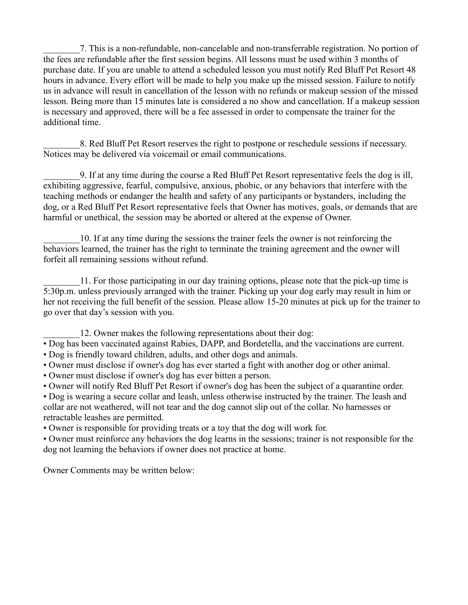\_\_\_\_\_\_\_\_7. This is a non-refundable, non-cancelable and non-transferrable registration. No portion of the fees are refundable after the first session begins. All lessons must be used within 3 months of purchase date. If you are unable to attend a scheduled lesson you must notify Red Bluff Pet Resort 48 hours in advance. Every effort will be made to help you make up the missed session. Failure to notify us in advance will result in cancellation of the lesson with no refunds or makeup session of the missed lesson. Being more than 15 minutes late is considered a no show and cancellation. If a makeup session is necessary and approved, there will be a fee assessed in order to compensate the trainer for the additional time.

\_\_\_\_\_\_\_\_8. Red Bluff Pet Resort reserves the right to postpone or reschedule sessions if necessary. Notices may be delivered via voicemail or email communications.

\_\_\_\_\_\_\_\_9. If at any time during the course a Red Bluff Pet Resort representative feels the dog is ill, exhibiting aggressive, fearful, compulsive, anxious, phobic, or any behaviors that interfere with the teaching methods or endanger the health and safety of any participants or bystanders, including the dog, or a Red Bluff Pet Resort representative feels that Owner has motives, goals, or demands that are harmful or unethical, the session may be aborted or altered at the expense of Owner.

\_\_\_\_\_\_\_\_10. If at any time during the sessions the trainer feels the owner is not reinforcing the behaviors learned, the trainer has the right to terminate the training agreement and the owner will forfeit all remaining sessions without refund.

11. For those participating in our day training options, please note that the pick-up time is 5:30p.m. unless previously arranged with the trainer. Picking up your dog early may result in him or her not receiving the full benefit of the session. Please allow 15-20 minutes at pick up for the trainer to go over that day's session with you.

12. Owner makes the following representations about their dog:

• Dog has been vaccinated against Rabies, DAPP, and Bordetella, and the vaccinations are current.

• Dog is friendly toward children, adults, and other dogs and animals.

• Owner must disclose if owner's dog has ever started a fight with another dog or other animal.

• Owner must disclose if owner's dog has ever bitten a person.

• Owner will notify Red Bluff Pet Resort if owner's dog has been the subject of a quarantine order.

• Dog is wearing a secure collar and leash, unless otherwise instructed by the trainer. The leash and collar are not weathered, will not tear and the dog cannot slip out of the collar. No harnesses or retractable leashes are permitted.

• Owner is responsible for providing treats or a toy that the dog will work for.

• Owner must reinforce any behaviors the dog learns in the sessions; trainer is not responsible for the dog not learning the behaviors if owner does not practice at home.

Owner Comments may be written below: